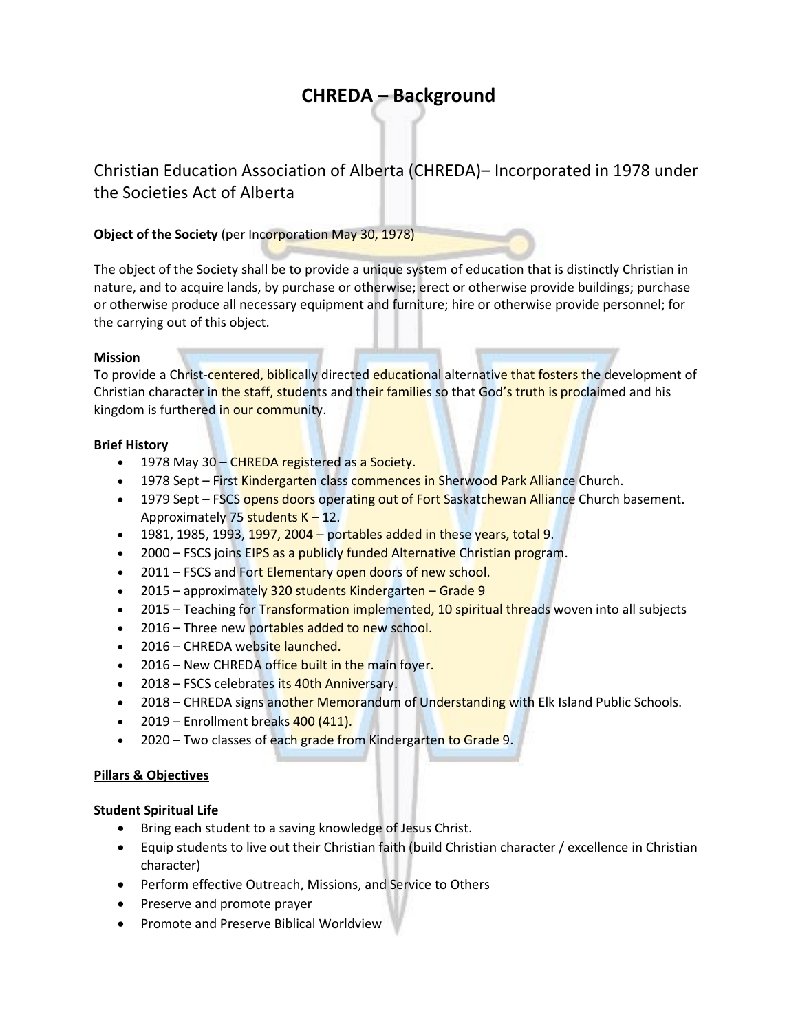# **CHREDA – Background**

Christian Education Association of Alberta (CHREDA)– Incorporated in 1978 under the Societies Act of Alberta

# **Object of the Society** (per Incorporation May 30, 1978)

The object of the Society shall be to provide a unique system of education that is distinctly Christian in nature, and to acquire lands, by purchase or otherwise; erect or otherwise provide buildings; purchase or otherwise produce all necessary equipment and furniture; hire or otherwise provide personnel; for the carrying out of this object.

# **Mission**

To provide a Christ-centered, biblically directed educational alternative that fosters the development of Christian character in the staff, students and their families so that God's truth is proclaimed and his kingdom is furthered in our community.

# **Brief History**

- 1978 May 30 CHREDA registered as a Society.
- 1978 Sept First Kindergarten class commences in Sherwood Park Alliance Church.
- 1979 Sept FSCS opens doors operating out of Fort Saskatchewan Alliance Church basement. Approximately 75 students  $K - 12$ .
- $-$  1981, 1985, 1993, 1997, 2004 portables added in these years, total 9.
- 2000 FSCS joins EIPS as a publicly funded Alternative Christian program.
- 2011 FSCS and Fort Elementary open doors of new school.
- 2015 approximately 320 students Kindergarten Grade 9
- 2015 Teaching for Transformation implemented, 10 spiritual threads woven into all subjects
- 2016 Three new portables added to new school.
- 2016 CHREDA website launched.
- 2016 New CHREDA office built in the main foyer.
- 2018 FSCS celebrates its 40th Anniversary.
- 2018 CHREDA signs another Memorandum of Understanding with Elk Island Public Schools.
- $\bullet$  2019 Enrollment breaks  $400(411)$ .
- 2020 Two classes of each grade from Kindergarten to Grade 9.

# **Pillars & Objectives**

# **Student Spiritual Life**

- Bring each student to a saving knowledge of Jesus Christ.
- Equip students to live out their Christian faith (build Christian character / excellence in Christian character)
- Perform effective Outreach, Missions, and Service to Others
- Preserve and promote prayer
- **•** Promote and Preserve Biblical Worldview